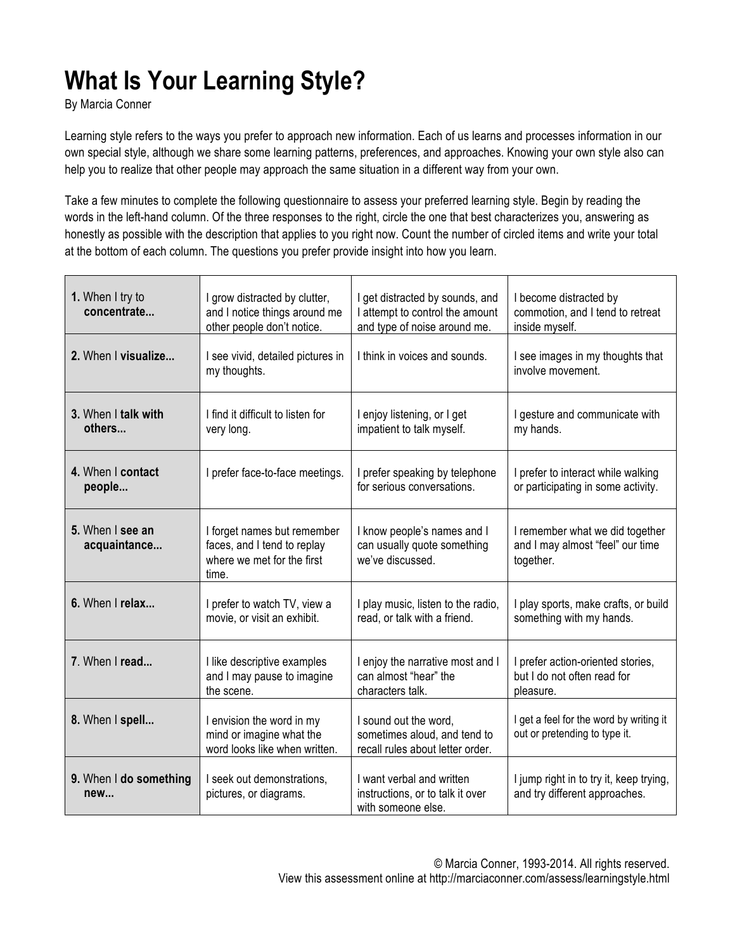## **What Is Your Learning Style?**

By Marcia Conner

Learning style refers to the ways you prefer to approach new information. Each of us learns and processes information in our own special style, although we share some learning patterns, preferences, and approaches. Knowing your own style also can help you to realize that other people may approach the same situation in a different way from your own.

Take a few minutes to complete the following questionnaire to assess your preferred learning style. Begin by reading the words in the left-hand column. Of the three responses to the right, circle the one that best characterizes you, answering as honestly as possible with the description that applies to you right now. Count the number of circled items and write your total at the bottom of each column. The questions you prefer provide insight into how you learn.

| 1. When I try to<br>concentrate  | I grow distracted by clutter,<br>and I notice things around me<br>other people don't notice.      | I get distracted by sounds, and<br>I attempt to control the amount<br>and type of noise around me. | I become distracted by<br>commotion, and I tend to retreat<br>inside myself.     |
|----------------------------------|---------------------------------------------------------------------------------------------------|----------------------------------------------------------------------------------------------------|----------------------------------------------------------------------------------|
| 2. When I visualize              | I see vivid, detailed pictures in<br>my thoughts.                                                 | I think in voices and sounds.                                                                      | I see images in my thoughts that<br>involve movement.                            |
| 3. When I talk with<br>others    | I find it difficult to listen for<br>very long.                                                   | I enjoy listening, or I get<br>impatient to talk myself.                                           | I gesture and communicate with<br>my hands.                                      |
| 4. When I contact<br>people      | I prefer face-to-face meetings.                                                                   | I prefer speaking by telephone<br>for serious conversations.                                       | I prefer to interact while walking<br>or participating in some activity.         |
| 5. When I see an<br>acquaintance | I forget names but remember<br>faces, and I tend to replay<br>where we met for the first<br>time. | I know people's names and I<br>can usually quote something<br>we've discussed.                     | I remember what we did together<br>and I may almost "feel" our time<br>together. |
| 6. When I relax                  | I prefer to watch TV, view a<br>movie, or visit an exhibit.                                       | I play music, listen to the radio,<br>read, or talk with a friend.                                 | I play sports, make crafts, or build<br>something with my hands.                 |
| 7. When I read                   | I like descriptive examples<br>and I may pause to imagine<br>the scene.                           | I enjoy the narrative most and I<br>can almost "hear" the<br>characters talk.                      | I prefer action-oriented stories,<br>but I do not often read for<br>pleasure.    |
| 8. When I spell                  | I envision the word in my<br>mind or imagine what the<br>word looks like when written.            | I sound out the word,<br>sometimes aloud, and tend to<br>recall rules about letter order.          | I get a feel for the word by writing it<br>out or pretending to type it.         |
| 9. When I do something<br>new    | I seek out demonstrations,<br>pictures, or diagrams.                                              | I want verbal and written<br>instructions, or to talk it over<br>with someone else.                | I jump right in to try it, keep trying,<br>and try different approaches.         |